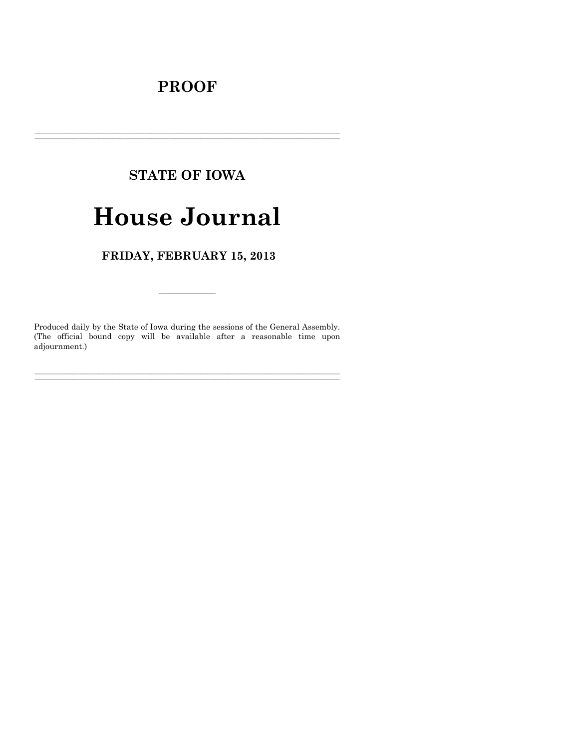## **PROOF**

## **STATE OF IOWA**

# **House Journal**

FRIDAY, FEBRUARY 15, 2013

Produced daily by the State of Iowa during the sessions of the General Assembly. (The official bound copy will be available after a reasonable time upon adjournment.)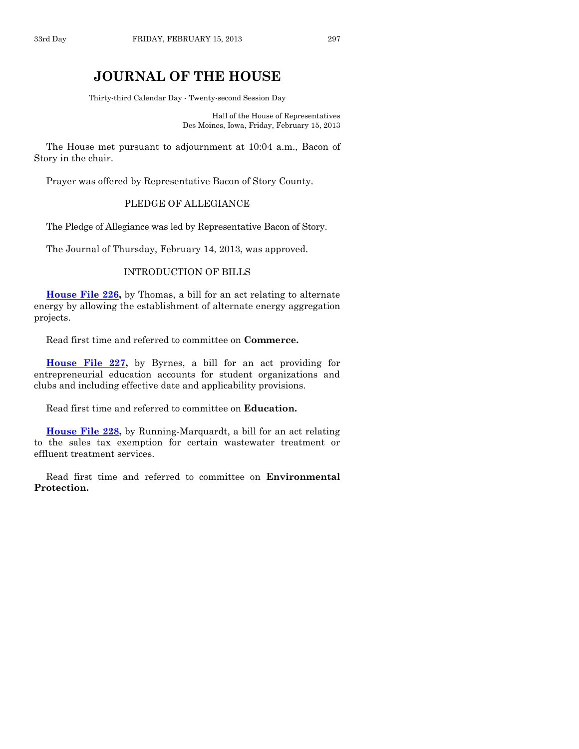### **JOURNAL OF THE HOUSE**

Thirty-third Calendar Day - Twenty-second Session Day

Hall of the House of Representatives Des Moines, Iowa, Friday, February 15, 2013

The House met pursuant to adjournment at 10:04 a.m., Bacon of Story in the chair.

Prayer was offered by Representative Bacon of Story County.

#### PLEDGE OF ALLEGIANCE

The Pledge of Allegiance was led by Representative Bacon of Story.

The Journal of Thursday, February 14, 2013, was approved.

#### INTRODUCTION OF BILLS

**[House File 226,](http://coolice.legis.state.ia.us/Cool-ICE/default.asp?Category=billinfo&Service=Billbook&frame=1&GA=85&hbill=HF226)** by Thomas, a bill for an act relating to alternate energy by allowing the establishment of alternate energy aggregation projects.

Read first time and referred to committee on **Commerce.**

**[House File 227,](http://coolice.legis.state.ia.us/Cool-ICE/default.asp?Category=billinfo&Service=Billbook&frame=1&GA=85&hbill=HF227)** by Byrnes, a bill for an act providing for entrepreneurial education accounts for student organizations and clubs and including effective date and applicability provisions.

Read first time and referred to committee on **Education.**

**[House File 228,](http://coolice.legis.state.ia.us/Cool-ICE/default.asp?Category=billinfo&Service=Billbook&frame=1&GA=85&hbill=HF228)** by Running-Marquardt, a bill for an act relating to the sales tax exemption for certain wastewater treatment or effluent treatment services.

Read first time and referred to committee on **Environmental Protection.**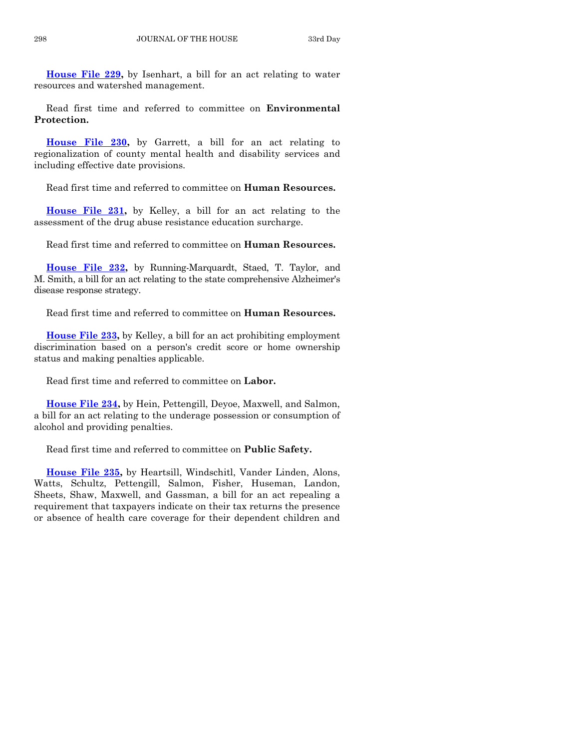**[House File 229,](http://coolice.legis.state.ia.us/Cool-ICE/default.asp?Category=billinfo&Service=Billbook&frame=1&GA=85&hbill=HF229)** by Isenhart, a bill for an act relating to water resources and watershed management.

Read first time and referred to committee on **Environmental Protection.**

**[House File 230,](http://coolice.legis.state.ia.us/Cool-ICE/default.asp?Category=billinfo&Service=Billbook&frame=1&GA=85&hbill=HF230)** by Garrett, a bill for an act relating to regionalization of county mental health and disability services and including effective date provisions.

Read first time and referred to committee on **Human Resources.**

**[House File 231,](http://coolice.legis.state.ia.us/Cool-ICE/default.asp?Category=billinfo&Service=Billbook&frame=1&GA=85&hbill=HF231)** by Kelley, a bill for an act relating to the assessment of the drug abuse resistance education surcharge.

Read first time and referred to committee on **Human Resources.**

**[House File 232,](http://coolice.legis.state.ia.us/Cool-ICE/default.asp?Category=billinfo&Service=Billbook&frame=1&GA=85&hbill=HF232)** by Running-Marquardt, Staed, T. Taylor, and M. Smith, a bill for an act relating to the state comprehensive Alzheimer's disease response strategy.

Read first time and referred to committee on **Human Resources.**

**[House File 233,](http://coolice.legis.state.ia.us/Cool-ICE/default.asp?Category=billinfo&Service=Billbook&frame=1&GA=85&hbill=HF233)** by Kelley, a bill for an act prohibiting employment discrimination based on a person's credit score or home ownership status and making penalties applicable.

Read first time and referred to committee on **Labor.**

**[House File 234,](http://coolice.legis.state.ia.us/Cool-ICE/default.asp?Category=billinfo&Service=Billbook&frame=1&GA=85&hbill=HF234)** by Hein, Pettengill, Deyoe, Maxwell, and Salmon, a bill for an act relating to the underage possession or consumption of alcohol and providing penalties.

Read first time and referred to committee on **Public Safety.**

**[House File 235,](http://coolice.legis.state.ia.us/Cool-ICE/default.asp?Category=billinfo&Service=Billbook&frame=1&GA=85&hbill=HF235)** by Heartsill, Windschitl, Vander Linden, Alons, Watts, Schultz, Pettengill, Salmon, Fisher, Huseman, Landon, Sheets, Shaw, Maxwell, and Gassman, a bill for an act repealing a requirement that taxpayers indicate on their tax returns the presence or absence of health care coverage for their dependent children and